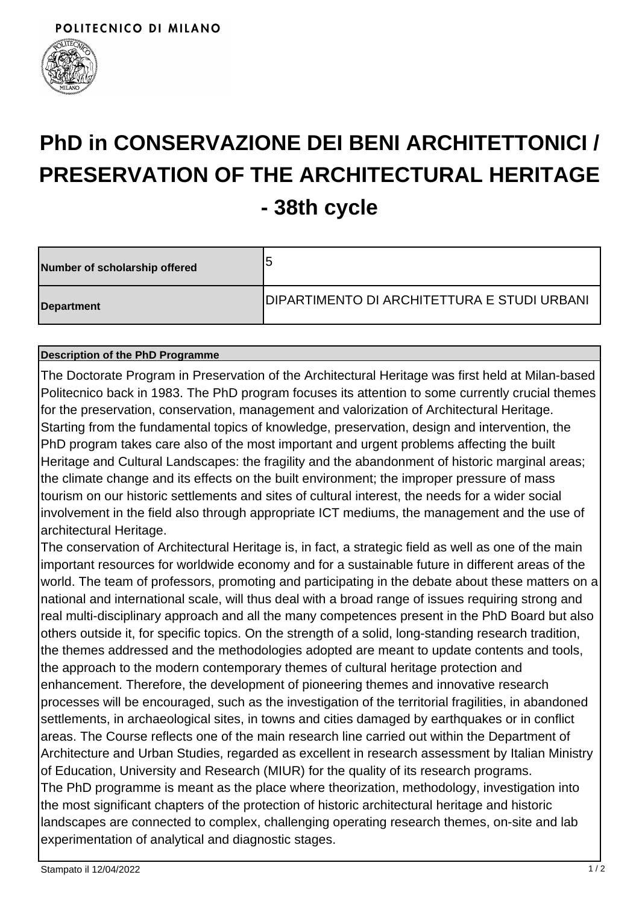

# **PhD in CONSERVAZIONE DEI BENI ARCHITETTONICI / PRESERVATION OF THE ARCHITECTURAL HERITAGE - 38th cycle**

| Number of scholarship offered | 5                                                   |
|-------------------------------|-----------------------------------------------------|
| Department                    | <b>IDIPARTIMENTO DI ARCHITETTURA E STUDI URBANI</b> |

#### **Description of the PhD Programme**

The Doctorate Program in Preservation of the Architectural Heritage was first held at Milan-based Politecnico back in 1983. The PhD program focuses its attention to some currently crucial themes for the preservation, conservation, management and valorization of Architectural Heritage. Starting from the fundamental topics of knowledge, preservation, design and intervention, the PhD program takes care also of the most important and urgent problems affecting the built Heritage and Cultural Landscapes: the fragility and the abandonment of historic marginal areas; the climate change and its effects on the built environment; the improper pressure of mass tourism on our historic settlements and sites of cultural interest, the needs for a wider social involvement in the field also through appropriate ICT mediums, the management and the use of architectural Heritage.

The conservation of Architectural Heritage is, in fact, a strategic field as well as one of the main important resources for worldwide economy and for a sustainable future in different areas of the world. The team of professors, promoting and participating in the debate about these matters on a national and international scale, will thus deal with a broad range of issues requiring strong and real multi-disciplinary approach and all the many competences present in the PhD Board but also others outside it, for specific topics. On the strength of a solid, long-standing research tradition, the themes addressed and the methodologies adopted are meant to update contents and tools, the approach to the modern contemporary themes of cultural heritage protection and enhancement. Therefore, the development of pioneering themes and innovative research processes will be encouraged, such as the investigation of the territorial fragilities, in abandoned settlements, in archaeological sites, in towns and cities damaged by earthquakes or in conflict areas. The Course reflects one of the main research line carried out within the Department of Architecture and Urban Studies, regarded as excellent in research assessment by Italian Ministry of Education, University and Research (MIUR) for the quality of its research programs. The PhD programme is meant as the place where theorization, methodology, investigation into the most significant chapters of the protection of historic architectural heritage and historic landscapes are connected to complex, challenging operating research themes, on-site and lab experimentation of analytical and diagnostic stages.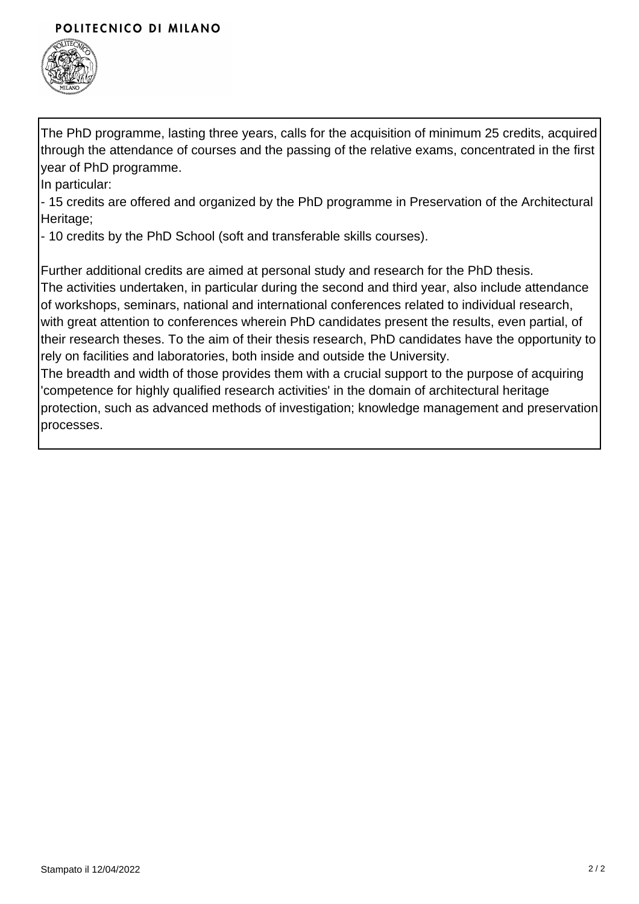### POLITECNICO DI MILANO



The PhD programme, lasting three years, calls for the acquisition of minimum 25 credits, acquired through the attendance of courses and the passing of the relative exams, concentrated in the first year of PhD programme.

In particular:

- 15 credits are offered and organized by the PhD programme in Preservation of the Architectural Heritage:

- 10 credits by the PhD School (soft and transferable skills courses).

Further additional credits are aimed at personal study and research for the PhD thesis.

The activities undertaken, in particular during the second and third year, also include attendance of workshops, seminars, national and international conferences related to individual research, with great attention to conferences wherein PhD candidates present the results, even partial, of their research theses. To the aim of their thesis research, PhD candidates have the opportunity to rely on facilities and laboratories, both inside and outside the University.

The breadth and width of those provides them with a crucial support to the purpose of acquiring 'competence for highly qualified research activities' in the domain of architectural heritage protection, such as advanced methods of investigation; knowledge management and preservation processes.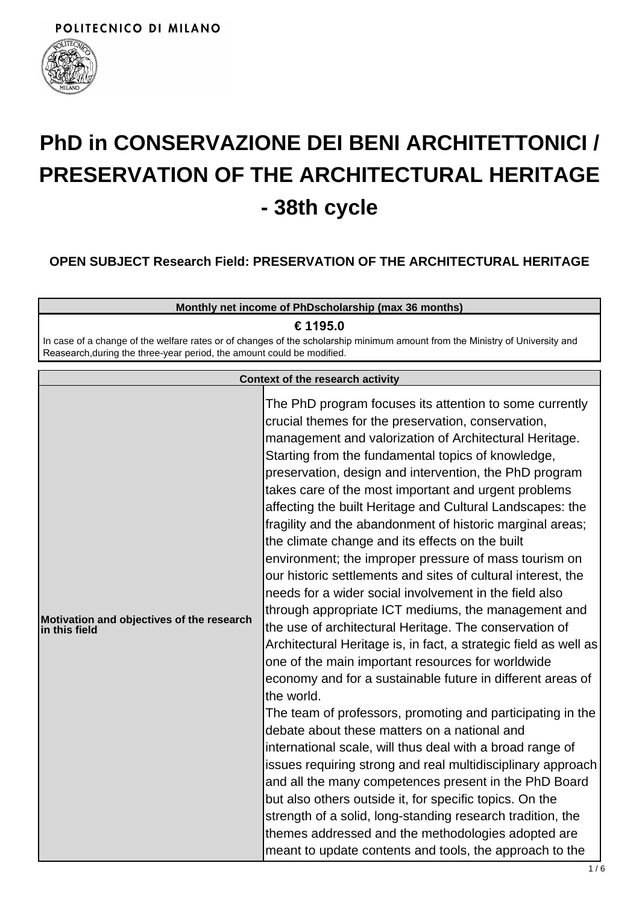

# **PhD in CONSERVAZIONE DEI BENI ARCHITETTONICI / PRESERVATION OF THE ARCHITECTURAL HERITAGE - 38th cycle**

# **OPEN SUBJECT Research Field: PRESERVATION OF THE ARCHITECTURAL HERITAGE**

| Monthly net income of PhDscholarship (max 36 months)                                                                                                                                                   |  |
|--------------------------------------------------------------------------------------------------------------------------------------------------------------------------------------------------------|--|
| € 1195.0                                                                                                                                                                                               |  |
| In case of a change of the welfare rates or of changes of the scholarship minimum amount from the Ministry of University and<br>Reasearch, during the three-year period, the amount could be modified. |  |

| <b>Context of the research activity</b>                       |                                                                                                                                                                                                                                                                                                                                                                                                                                                                                                                                                                                                                                                                                                                                                                                                                                                                                                                                                                                                                                                                                                                                                                                                                                                                                                                                                                                                                                                                                                                                                                                    |
|---------------------------------------------------------------|------------------------------------------------------------------------------------------------------------------------------------------------------------------------------------------------------------------------------------------------------------------------------------------------------------------------------------------------------------------------------------------------------------------------------------------------------------------------------------------------------------------------------------------------------------------------------------------------------------------------------------------------------------------------------------------------------------------------------------------------------------------------------------------------------------------------------------------------------------------------------------------------------------------------------------------------------------------------------------------------------------------------------------------------------------------------------------------------------------------------------------------------------------------------------------------------------------------------------------------------------------------------------------------------------------------------------------------------------------------------------------------------------------------------------------------------------------------------------------------------------------------------------------------------------------------------------------|
| Motivation and objectives of the research<br>$\ln$ this field | The PhD program focuses its attention to some currently<br>crucial themes for the preservation, conservation,<br>management and valorization of Architectural Heritage.<br>Starting from the fundamental topics of knowledge,<br>preservation, design and intervention, the PhD program<br>takes care of the most important and urgent problems<br>affecting the built Heritage and Cultural Landscapes: the<br>fragility and the abandonment of historic marginal areas;<br>the climate change and its effects on the built<br>environment; the improper pressure of mass tourism on<br>our historic settlements and sites of cultural interest, the<br>needs for a wider social involvement in the field also<br>through appropriate ICT mediums, the management and<br>the use of architectural Heritage. The conservation of<br>Architectural Heritage is, in fact, a strategic field as well as<br>one of the main important resources for worldwide<br>economy and for a sustainable future in different areas of<br>the world.<br>The team of professors, promoting and participating in the<br>debate about these matters on a national and<br>international scale, will thus deal with a broad range of<br>issues requiring strong and real multidisciplinary approach<br>and all the many competences present in the PhD Board<br>but also others outside it, for specific topics. On the<br>strength of a solid, long-standing research tradition, the<br>themes addressed and the methodologies adopted are<br>meant to update contents and tools, the approach to the |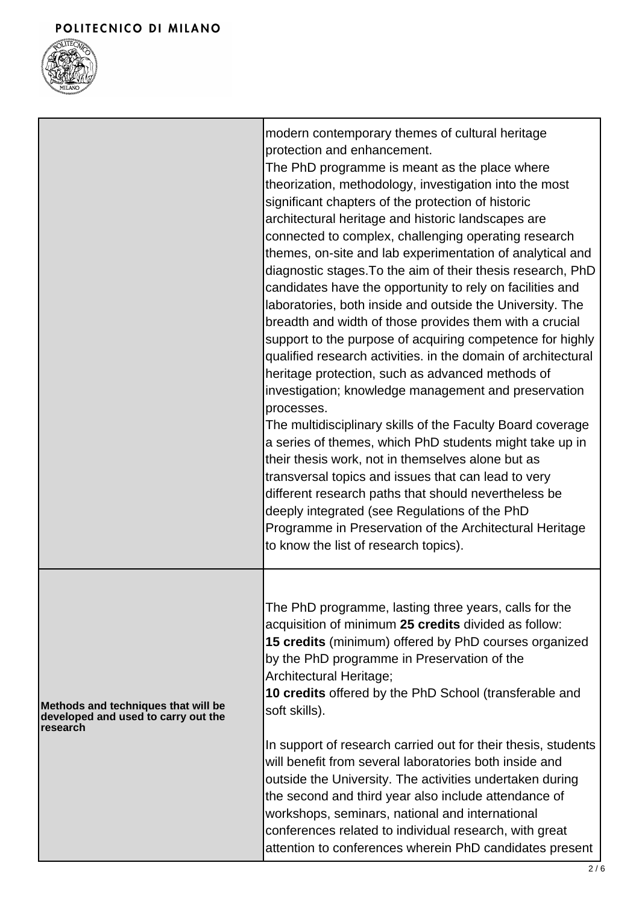

|                                                                                        | modern contemporary themes of cultural heritage<br>protection and enhancement.<br>The PhD programme is meant as the place where<br>theorization, methodology, investigation into the most<br>significant chapters of the protection of historic<br>architectural heritage and historic landscapes are<br>connected to complex, challenging operating research<br>themes, on-site and lab experimentation of analytical and<br>diagnostic stages. To the aim of their thesis research, PhD<br>candidates have the opportunity to rely on facilities and<br>laboratories, both inside and outside the University. The<br>breadth and width of those provides them with a crucial<br>support to the purpose of acquiring competence for highly<br>qualified research activities. in the domain of architectural<br>heritage protection, such as advanced methods of<br>investigation; knowledge management and preservation<br>processes.<br>The multidisciplinary skills of the Faculty Board coverage<br>a series of themes, which PhD students might take up in<br>their thesis work, not in themselves alone but as<br>transversal topics and issues that can lead to very<br>different research paths that should nevertheless be<br>deeply integrated (see Regulations of the PhD<br>Programme in Preservation of the Architectural Heritage<br>to know the list of research topics). |
|----------------------------------------------------------------------------------------|------------------------------------------------------------------------------------------------------------------------------------------------------------------------------------------------------------------------------------------------------------------------------------------------------------------------------------------------------------------------------------------------------------------------------------------------------------------------------------------------------------------------------------------------------------------------------------------------------------------------------------------------------------------------------------------------------------------------------------------------------------------------------------------------------------------------------------------------------------------------------------------------------------------------------------------------------------------------------------------------------------------------------------------------------------------------------------------------------------------------------------------------------------------------------------------------------------------------------------------------------------------------------------------------------------------------------------------------------------------------------------------|
| Methods and techniques that will be<br>developed and used to carry out the<br>research | The PhD programme, lasting three years, calls for the<br>acquisition of minimum 25 credits divided as follow:<br>15 credits (minimum) offered by PhD courses organized<br>by the PhD programme in Preservation of the<br>Architectural Heritage;<br>10 credits offered by the PhD School (transferable and<br>soft skills).<br>In support of research carried out for their thesis, students<br>will benefit from several laboratories both inside and<br>outside the University. The activities undertaken during<br>the second and third year also include attendance of<br>workshops, seminars, national and international<br>conferences related to individual research, with great<br>attention to conferences wherein PhD candidates present                                                                                                                                                                                                                                                                                                                                                                                                                                                                                                                                                                                                                                       |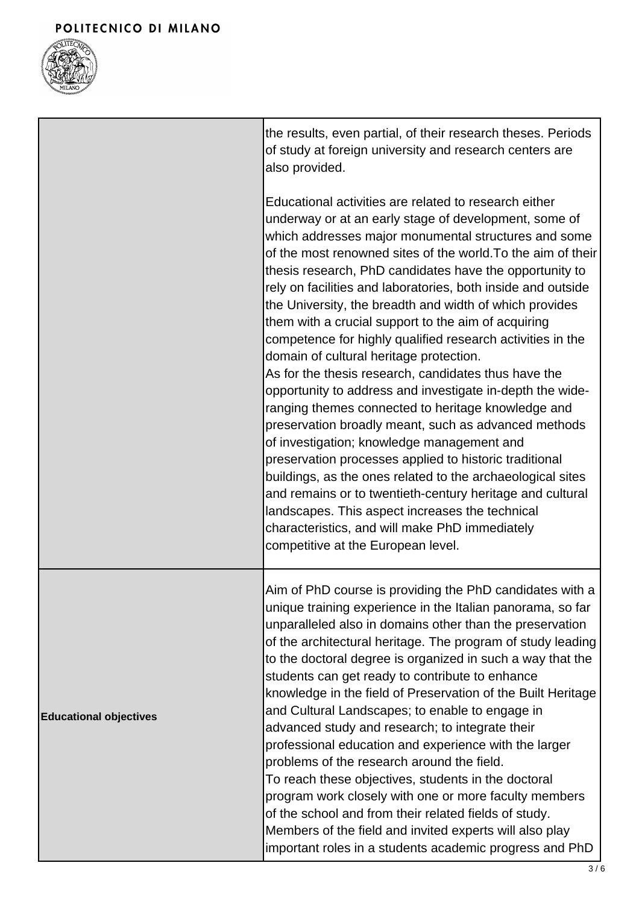

|                               | the results, even partial, of their research theses. Periods<br>of study at foreign university and research centers are<br>also provided.                                                                                                                                                                                                                                                                                                                                                                                                                                                                                                                                                                                                                                                                                                                                                                                                                                                                                                                                                                                                                                                                     |
|-------------------------------|---------------------------------------------------------------------------------------------------------------------------------------------------------------------------------------------------------------------------------------------------------------------------------------------------------------------------------------------------------------------------------------------------------------------------------------------------------------------------------------------------------------------------------------------------------------------------------------------------------------------------------------------------------------------------------------------------------------------------------------------------------------------------------------------------------------------------------------------------------------------------------------------------------------------------------------------------------------------------------------------------------------------------------------------------------------------------------------------------------------------------------------------------------------------------------------------------------------|
|                               | Educational activities are related to research either<br>underway or at an early stage of development, some of<br>which addresses major monumental structures and some<br>of the most renowned sites of the world. To the aim of their<br>thesis research, PhD candidates have the opportunity to<br>rely on facilities and laboratories, both inside and outside<br>the University, the breadth and width of which provides<br>them with a crucial support to the aim of acquiring<br>competence for highly qualified research activities in the<br>domain of cultural heritage protection.<br>As for the thesis research, candidates thus have the<br>opportunity to address and investigate in-depth the wide-<br>ranging themes connected to heritage knowledge and<br>preservation broadly meant, such as advanced methods<br>of investigation; knowledge management and<br>preservation processes applied to historic traditional<br>buildings, as the ones related to the archaeological sites<br>and remains or to twentieth-century heritage and cultural<br>landscapes. This aspect increases the technical<br>characteristics, and will make PhD immediately<br>competitive at the European level. |
| <b>Educational objectives</b> | Aim of PhD course is providing the PhD candidates with a<br>unique training experience in the Italian panorama, so far<br>unparalleled also in domains other than the preservation<br>of the architectural heritage. The program of study leading<br>to the doctoral degree is organized in such a way that the<br>students can get ready to contribute to enhance<br>knowledge in the field of Preservation of the Built Heritage<br>and Cultural Landscapes; to enable to engage in<br>advanced study and research; to integrate their<br>professional education and experience with the larger<br>problems of the research around the field.<br>To reach these objectives, students in the doctoral<br>program work closely with one or more faculty members<br>of the school and from their related fields of study.<br>Members of the field and invited experts will also play<br>important roles in a students academic progress and PhD                                                                                                                                                                                                                                                                |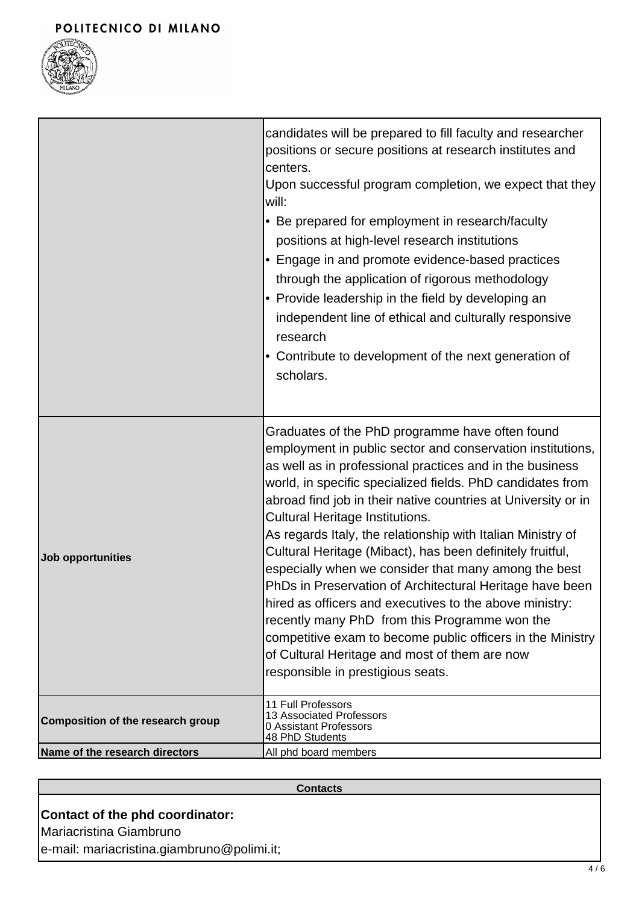#### POLITECNICO DI MILANO



|                                   | candidates will be prepared to fill faculty and researcher<br>positions or secure positions at research institutes and<br>centers.<br>Upon successful program completion, we expect that they<br>$ $ will:<br>• Be prepared for employment in research/faculty<br>positions at high-level research institutions<br>Engage in and promote evidence-based practices<br>$\bullet$<br>through the application of rigorous methodology<br>• Provide leadership in the field by developing an<br>independent line of ethical and culturally responsive<br>research<br>• Contribute to development of the next generation of<br>scholars.                                                                                                                                                                                                                                 |
|-----------------------------------|--------------------------------------------------------------------------------------------------------------------------------------------------------------------------------------------------------------------------------------------------------------------------------------------------------------------------------------------------------------------------------------------------------------------------------------------------------------------------------------------------------------------------------------------------------------------------------------------------------------------------------------------------------------------------------------------------------------------------------------------------------------------------------------------------------------------------------------------------------------------|
| Job opportunities                 | Graduates of the PhD programme have often found<br>employment in public sector and conservation institutions,<br>as well as in professional practices and in the business<br>world, in specific specialized fields. PhD candidates from<br>abroad find job in their native countries at University or in<br><b>Cultural Heritage Institutions.</b><br>As regards Italy, the relationship with Italian Ministry of<br>Cultural Heritage (Mibact), has been definitely fruitful,<br>especially when we consider that many among the best<br>PhDs in Preservation of Architectural Heritage have been<br>hired as officers and executives to the above ministry:<br>recently many PhD from this Programme won the<br>competitive exam to become public officers in the Ministry<br>of Cultural Heritage and most of them are now<br>responsible in prestigious seats. |
| Composition of the research group | 11 Full Professors<br>13 Associated Professors<br>0 Assistant Professors<br>48 PhD Students                                                                                                                                                                                                                                                                                                                                                                                                                                                                                                                                                                                                                                                                                                                                                                        |
| Name of the research directors    | All phd board members                                                                                                                                                                                                                                                                                                                                                                                                                                                                                                                                                                                                                                                                                                                                                                                                                                              |

#### **Contacts**

# **Contact of the phd coordinator:**

Mariacristina Giambruno

e-mail: mariacristina.giambruno@polimi.it;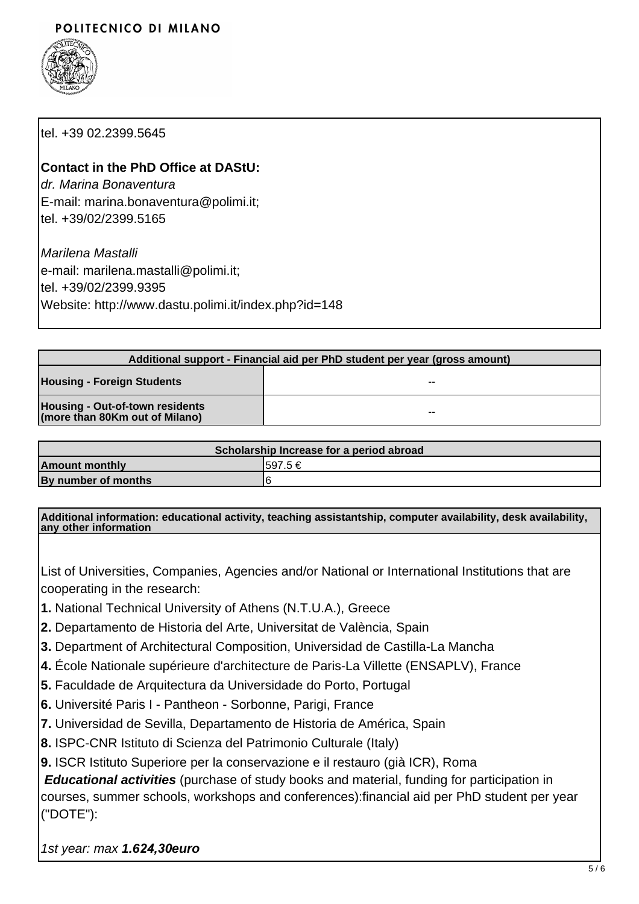## POLITECNICO DI MILANO



tel. +39 02.2399.5645

### **Contact in the PhD Office at DAStU:**

dr. Marina Bonaventura E-mail: marina.bonaventura@polimi.it; tel. +39/02/2399.5165

Marilena Mastalli e-mail: marilena.mastalli@polimi.it; tel. +39/02/2399.9395 Website: http://www.dastu.polimi.it/index.php?id=148

| Additional support - Financial aid per PhD student per year (gross amount) |    |
|----------------------------------------------------------------------------|----|
| <b>Housing - Foreign Students</b>                                          | -- |
| Housing - Out-of-town residents<br>(more than 80Km out of Milano)          | -- |

| Scholarship Increase for a period abroad |          |
|------------------------------------------|----------|
| <b>Amount monthly</b>                    | 1597.5 € |
| By number of months                      |          |

**Additional information: educational activity, teaching assistantship, computer availability, desk availability, any other information**

List of Universities, Companies, Agencies and/or National or International Institutions that are cooperating in the research:

- **1.** National Technical University of Athens (N.T.U.A.), Greece
- **2.** Departamento de Historia del Arte, Universitat de València, Spain
- **3.** Department of Architectural Composition, Universidad de Castilla-La Mancha
- **4.** École Nationale supérieure d'architecture de Paris-La Villette (ENSAPLV), France
- **5.** Faculdade de Arquitectura da Universidade do Porto, Portugal
- **6.** Université Paris I Pantheon Sorbonne, Parigi, France
- **7.** Universidad de Sevilla, Departamento de Historia de América, Spain
- **8.** ISPC-CNR Istituto di Scienza del Patrimonio Culturale (Italy)
- **9.** ISCR Istituto Superiore per la conservazione e il restauro (già ICR), Roma

**Educational activities** (purchase of study books and material, funding for participation in courses, summer schools, workshops and conferences):financial aid per PhD student per year ("DOTE"):

1st year: max **1.6***24,30***euro**